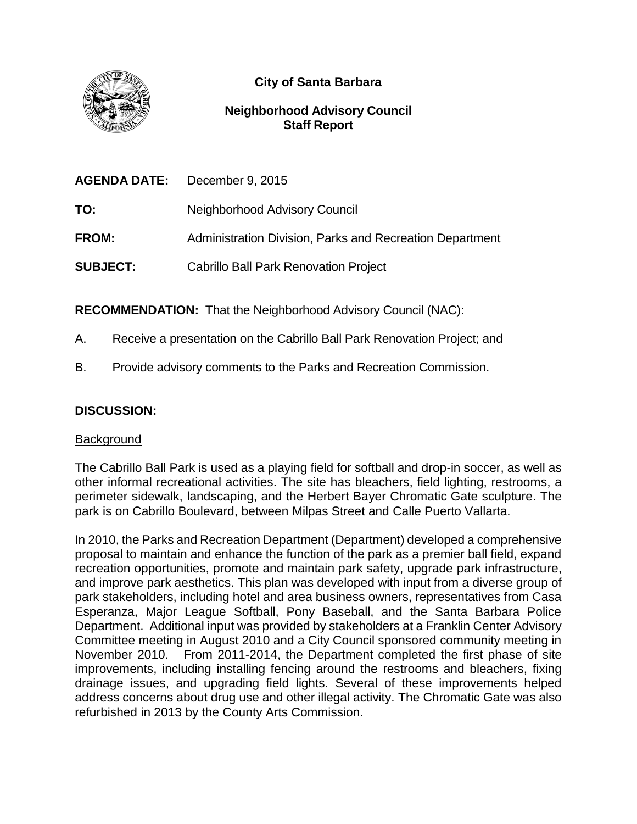

# **City of Santa Barbara**

# **Neighborhood Advisory Council Staff Report**

|                 | <b>AGENDA DATE:</b> December 9, 2015                     |
|-----------------|----------------------------------------------------------|
| TO:             | Neighborhood Advisory Council                            |
| <b>FROM:</b>    | Administration Division, Parks and Recreation Department |
| <b>SUBJECT:</b> | <b>Cabrillo Ball Park Renovation Project</b>             |

**RECOMMENDATION:** That the Neighborhood Advisory Council (NAC):

- A. Receive a presentation on the Cabrillo Ball Park Renovation Project; and
- B. Provide advisory comments to the Parks and Recreation Commission.

## **DISCUSSION:**

### Background

The Cabrillo Ball Park is used as a playing field for softball and drop-in soccer, as well as other informal recreational activities. The site has bleachers, field lighting, restrooms, a perimeter sidewalk, landscaping, and the Herbert Bayer Chromatic Gate sculpture. The park is on Cabrillo Boulevard, between Milpas Street and Calle Puerto Vallarta.

In 2010, the Parks and Recreation Department (Department) developed a comprehensive proposal to maintain and enhance the function of the park as a premier ball field, expand recreation opportunities, promote and maintain park safety, upgrade park infrastructure, and improve park aesthetics. This plan was developed with input from a diverse group of park stakeholders, including hotel and area business owners, representatives from Casa Esperanza, Major League Softball, Pony Baseball, and the Santa Barbara Police Department. Additional input was provided by stakeholders at a Franklin Center Advisory Committee meeting in August 2010 and a City Council sponsored community meeting in November 2010. From 2011-2014, the Department completed the first phase of site improvements, including installing fencing around the restrooms and bleachers, fixing drainage issues, and upgrading field lights. Several of these improvements helped address concerns about drug use and other illegal activity. The Chromatic Gate was also refurbished in 2013 by the County Arts Commission.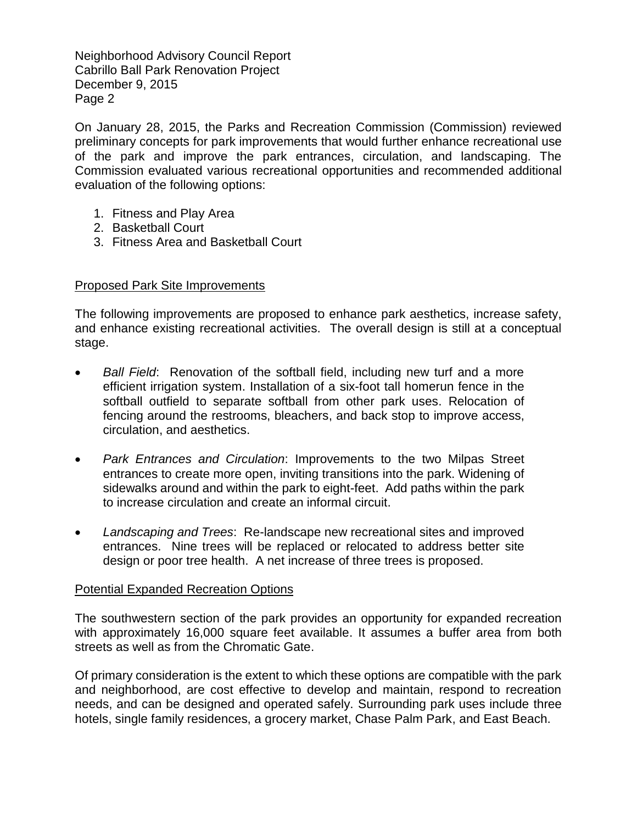Neighborhood Advisory Council Report Cabrillo Ball Park Renovation Project December 9, 2015 Page 2

On January 28, 2015, the Parks and Recreation Commission (Commission) reviewed preliminary concepts for park improvements that would further enhance recreational use of the park and improve the park entrances, circulation, and landscaping. The Commission evaluated various recreational opportunities and recommended additional evaluation of the following options:

- 1. Fitness and Play Area
- 2. Basketball Court
- 3. Fitness Area and Basketball Court

### Proposed Park Site Improvements

The following improvements are proposed to enhance park aesthetics, increase safety, and enhance existing recreational activities. The overall design is still at a conceptual stage.

- *Ball Field*: Renovation of the softball field, including new turf and a more efficient irrigation system. Installation of a six-foot tall homerun fence in the softball outfield to separate softball from other park uses. Relocation of fencing around the restrooms, bleachers, and back stop to improve access, circulation, and aesthetics.
- *Park Entrances and Circulation*: Improvements to the two Milpas Street entrances to create more open, inviting transitions into the park. Widening of sidewalks around and within the park to eight-feet. Add paths within the park to increase circulation and create an informal circuit.
- *Landscaping and Trees*: Re-landscape new recreational sites and improved entrances. Nine trees will be replaced or relocated to address better site design or poor tree health. A net increase of three trees is proposed.

### Potential Expanded Recreation Options

The southwestern section of the park provides an opportunity for expanded recreation with approximately 16,000 square feet available. It assumes a buffer area from both streets as well as from the Chromatic Gate.

Of primary consideration is the extent to which these options are compatible with the park and neighborhood, are cost effective to develop and maintain, respond to recreation needs, and can be designed and operated safely. Surrounding park uses include three hotels, single family residences, a grocery market, Chase Palm Park, and East Beach.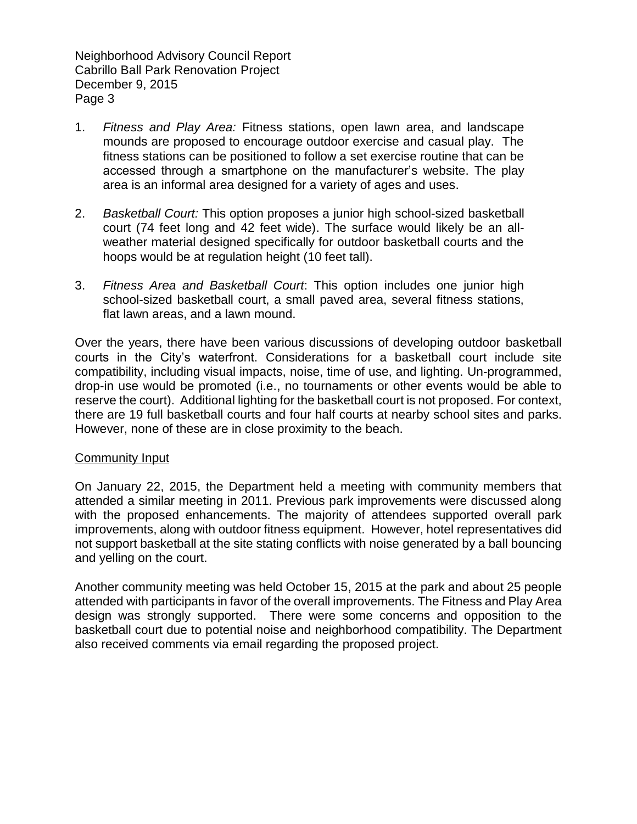Neighborhood Advisory Council Report Cabrillo Ball Park Renovation Project December 9, 2015 Page 3

- 1. *Fitness and Play Area:* Fitness stations, open lawn area, and landscape mounds are proposed to encourage outdoor exercise and casual play. The fitness stations can be positioned to follow a set exercise routine that can be accessed through a smartphone on the manufacturer's website. The play area is an informal area designed for a variety of ages and uses.
- 2. *Basketball Court:* This option proposes a junior high school-sized basketball court (74 feet long and 42 feet wide). The surface would likely be an allweather material designed specifically for outdoor basketball courts and the hoops would be at regulation height (10 feet tall).
- 3. *Fitness Area and Basketball Court*: This option includes one junior high school-sized basketball court, a small paved area, several fitness stations, flat lawn areas, and a lawn mound.

Over the years, there have been various discussions of developing outdoor basketball courts in the City's waterfront. Considerations for a basketball court include site compatibility, including visual impacts, noise, time of use, and lighting. Un-programmed, drop-in use would be promoted (i.e., no tournaments or other events would be able to reserve the court). Additional lighting for the basketball court is not proposed. For context, there are 19 full basketball courts and four half courts at nearby school sites and parks. However, none of these are in close proximity to the beach.

#### Community Input

On January 22, 2015, the Department held a meeting with community members that attended a similar meeting in 2011. Previous park improvements were discussed along with the proposed enhancements. The majority of attendees supported overall park improvements, along with outdoor fitness equipment. However, hotel representatives did not support basketball at the site stating conflicts with noise generated by a ball bouncing and yelling on the court.

Another community meeting was held October 15, 2015 at the park and about 25 people attended with participants in favor of the overall improvements. The Fitness and Play Area design was strongly supported. There were some concerns and opposition to the basketball court due to potential noise and neighborhood compatibility. The Department also received comments via email regarding the proposed project.